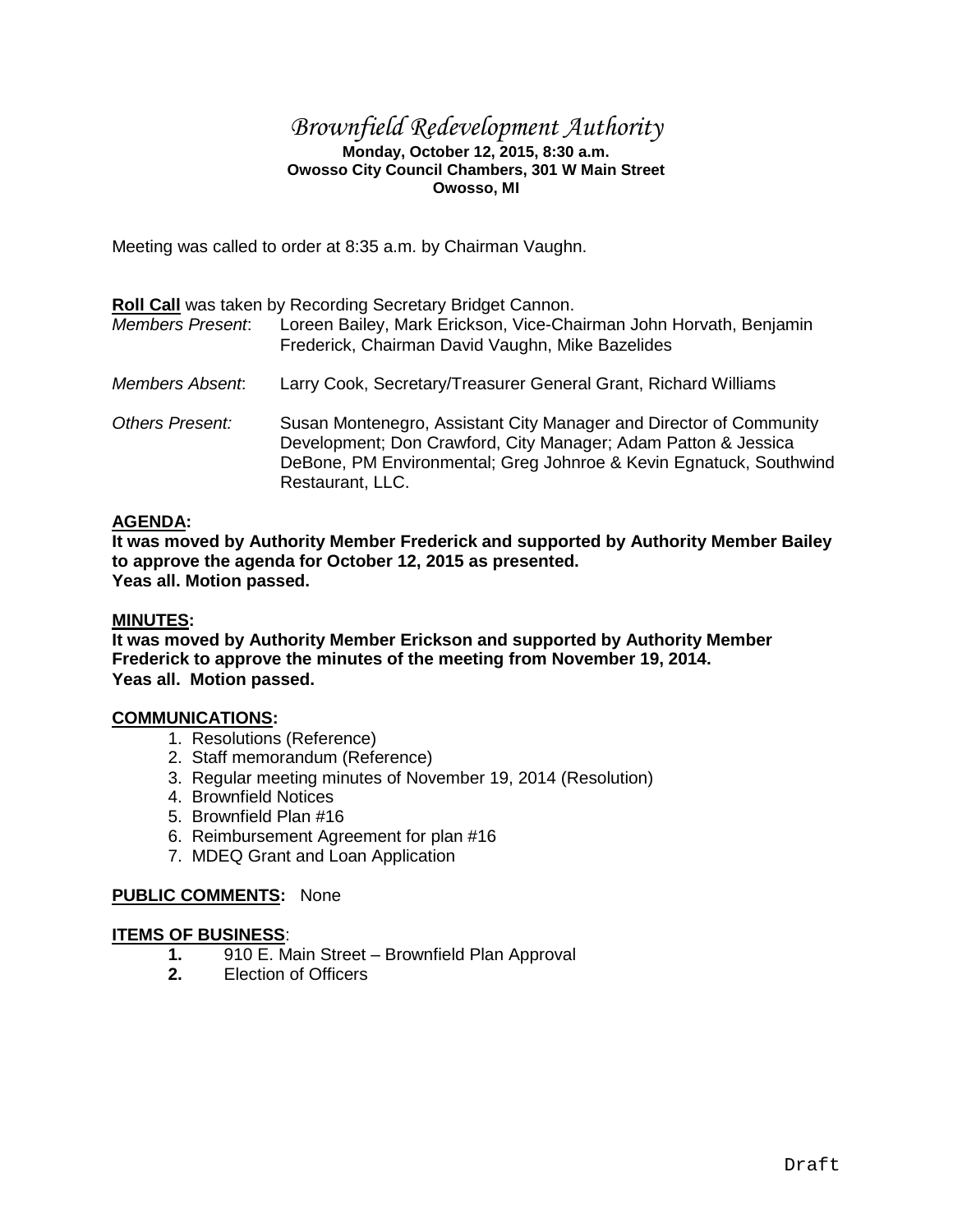## *Brownfield Redevelopment Authority*

### **Monday, October 12, 2015, 8:30 a.m. Owosso City Council Chambers, 301 W Main Street Owosso, MI**

Meeting was called to order at 8:35 a.m. by Chairman Vaughn.

|                         | <b>Roll Call was taken by Recording Secretary Bridget Cannon.</b>                                                                                                                                                              |
|-------------------------|--------------------------------------------------------------------------------------------------------------------------------------------------------------------------------------------------------------------------------|
| <b>Members Present:</b> | Loreen Bailey, Mark Erickson, Vice-Chairman John Horvath, Benjamin<br>Frederick, Chairman David Vaughn, Mike Bazelides                                                                                                         |
| <b>Members Absent.</b>  | Larry Cook, Secretary/Treasurer General Grant, Richard Williams                                                                                                                                                                |
| Others Present:         | Susan Montenegro, Assistant City Manager and Director of Community<br>Development; Don Crawford, City Manager; Adam Patton & Jessica<br>DeBone, PM Environmental; Greg Johnroe & Kevin Egnatuck, Southwind<br>Restaurant, LLC. |

### **AGENDA:**

**It was moved by Authority Member Frederick and supported by Authority Member Bailey to approve the agenda for October 12, 2015 as presented. Yeas all. Motion passed.**

### **MINUTES:**

**It was moved by Authority Member Erickson and supported by Authority Member Frederick to approve the minutes of the meeting from November 19, 2014. Yeas all. Motion passed.**

### **COMMUNICATIONS:**

- 1. Resolutions (Reference)
- 2. Staff memorandum (Reference)
- 3. Regular meeting minutes of November 19, 2014 (Resolution)
- 4. Brownfield Notices
- 5. Brownfield Plan #16
- 6. Reimbursement Agreement for plan #16
- 7. MDEQ Grant and Loan Application

### **PUBLIC COMMENTS:** None

# **ITEMS OF BUSINESS:**<br>1. 910 E. M

- **1.** 910 E. Main Street Brownfield Plan Approval<br>**2.** Election of Officers
- **2.** Election of Officers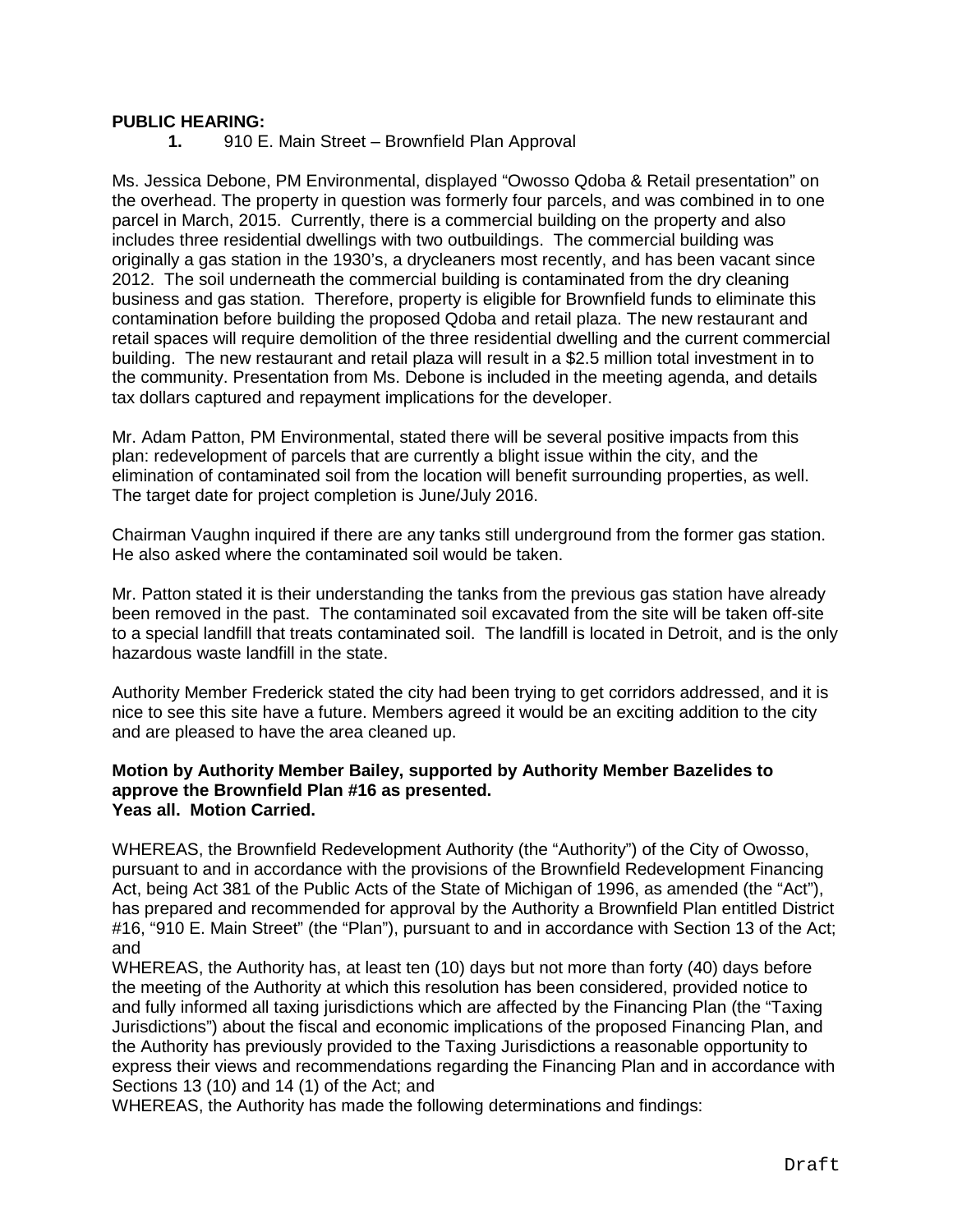### **PUBLIC HEARING:**

**1.** 910 E. Main Street – Brownfield Plan Approval

Ms. Jessica Debone, PM Environmental, displayed "Owosso Qdoba & Retail presentation" on the overhead. The property in question was formerly four parcels, and was combined in to one parcel in March, 2015. Currently, there is a commercial building on the property and also includes three residential dwellings with two outbuildings. The commercial building was originally a gas station in the 1930's, a drycleaners most recently, and has been vacant since 2012. The soil underneath the commercial building is contaminated from the dry cleaning business and gas station. Therefore, property is eligible for Brownfield funds to eliminate this contamination before building the proposed Qdoba and retail plaza. The new restaurant and retail spaces will require demolition of the three residential dwelling and the current commercial building. The new restaurant and retail plaza will result in a \$2.5 million total investment in to the community. Presentation from Ms. Debone is included in the meeting agenda, and details tax dollars captured and repayment implications for the developer.

Mr. Adam Patton, PM Environmental, stated there will be several positive impacts from this plan: redevelopment of parcels that are currently a blight issue within the city, and the elimination of contaminated soil from the location will benefit surrounding properties, as well. The target date for project completion is June/July 2016.

Chairman Vaughn inquired if there are any tanks still underground from the former gas station. He also asked where the contaminated soil would be taken.

Mr. Patton stated it is their understanding the tanks from the previous gas station have already been removed in the past. The contaminated soil excavated from the site will be taken off-site to a special landfill that treats contaminated soil. The landfill is located in Detroit, and is the only hazardous waste landfill in the state.

Authority Member Frederick stated the city had been trying to get corridors addressed, and it is nice to see this site have a future. Members agreed it would be an exciting addition to the city and are pleased to have the area cleaned up.

### **Motion by Authority Member Bailey, supported by Authority Member Bazelides to approve the Brownfield Plan #16 as presented. Yeas all. Motion Carried.**

WHEREAS, the Brownfield Redevelopment Authority (the "Authority") of the City of Owosso, pursuant to and in accordance with the provisions of the Brownfield Redevelopment Financing Act, being Act 381 of the Public Acts of the State of Michigan of 1996, as amended (the "Act"), has prepared and recommended for approval by the Authority a Brownfield Plan entitled District #16, "910 E. Main Street" (the "Plan"), pursuant to and in accordance with Section 13 of the Act; and

WHEREAS, the Authority has, at least ten (10) days but not more than forty (40) days before the meeting of the Authority at which this resolution has been considered, provided notice to and fully informed all taxing jurisdictions which are affected by the Financing Plan (the "Taxing Jurisdictions") about the fiscal and economic implications of the proposed Financing Plan, and the Authority has previously provided to the Taxing Jurisdictions a reasonable opportunity to express their views and recommendations regarding the Financing Plan and in accordance with Sections 13 (10) and 14 (1) of the Act; and

WHEREAS, the Authority has made the following determinations and findings: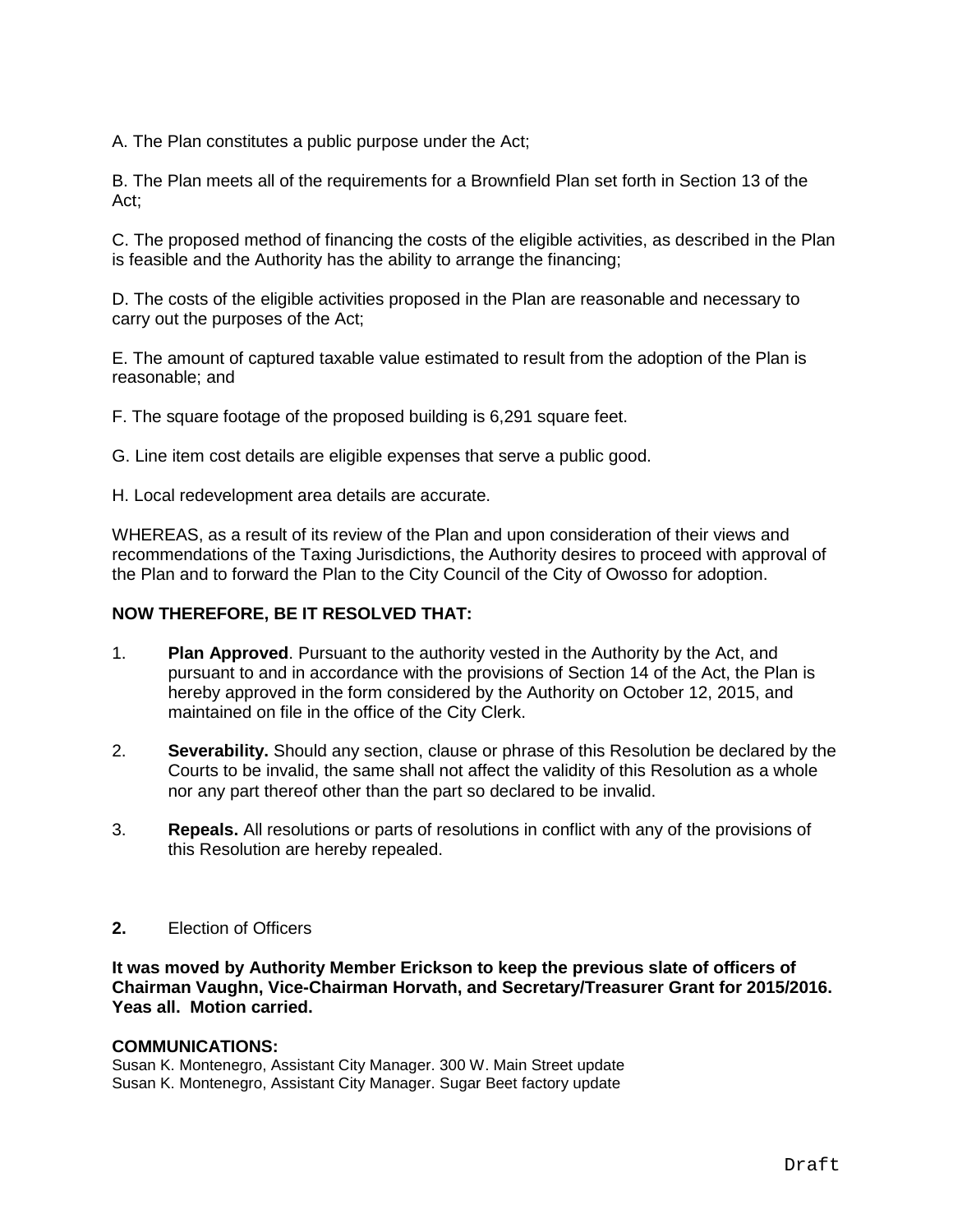A. The Plan constitutes a public purpose under the Act;

B. The Plan meets all of the requirements for a Brownfield Plan set forth in Section 13 of the Act;

C. The proposed method of financing the costs of the eligible activities, as described in the Plan is feasible and the Authority has the ability to arrange the financing;

D. The costs of the eligible activities proposed in the Plan are reasonable and necessary to carry out the purposes of the Act;

E. The amount of captured taxable value estimated to result from the adoption of the Plan is reasonable; and

F. The square footage of the proposed building is 6,291 square feet.

G. Line item cost details are eligible expenses that serve a public good.

H. Local redevelopment area details are accurate.

WHEREAS, as a result of its review of the Plan and upon consideration of their views and recommendations of the Taxing Jurisdictions, the Authority desires to proceed with approval of the Plan and to forward the Plan to the City Council of the City of Owosso for adoption.

### **NOW THEREFORE, BE IT RESOLVED THAT:**

- 1. **Plan Approved**. Pursuant to the authority vested in the Authority by the Act, and pursuant to and in accordance with the provisions of Section 14 of the Act, the Plan is hereby approved in the form considered by the Authority on October 12, 2015, and maintained on file in the office of the City Clerk.
- 2. **Severability.** Should any section, clause or phrase of this Resolution be declared by the Courts to be invalid, the same shall not affect the validity of this Resolution as a whole nor any part thereof other than the part so declared to be invalid.
- 3. **Repeals.** All resolutions or parts of resolutions in conflict with any of the provisions of this Resolution are hereby repealed.
- **2.** Election of Officers

**It was moved by Authority Member Erickson to keep the previous slate of officers of Chairman Vaughn, Vice-Chairman Horvath, and Secretary/Treasurer Grant for 2015/2016. Yeas all. Motion carried.**

### **COMMUNICATIONS:**

Susan K. Montenegro, Assistant City Manager. 300 W. Main Street update Susan K. Montenegro, Assistant City Manager. Sugar Beet factory update